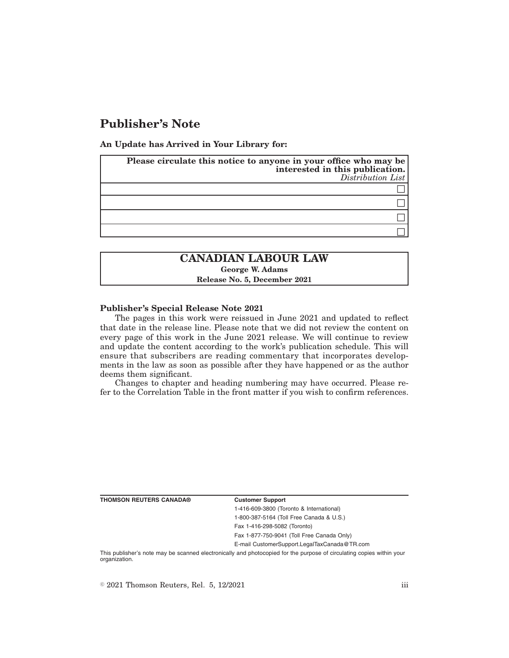# **Publisher's Note**

**An Update has Arrived in Your Library for:**

| Please circulate this notice to anyone in your office who may be<br>interested in this publication.<br>Distribution List |
|--------------------------------------------------------------------------------------------------------------------------|
|                                                                                                                          |
|                                                                                                                          |
|                                                                                                                          |
|                                                                                                                          |

## **CANADIAN LABOUR LAW George W. Adams Release No. 5, December 2021**

#### **Publisher's Special Release Note 2021**

The pages in this work were reissued in June 2021 and updated to reflect that date in the release line. Please note that we did not review the content on every page of this work in the June 2021 release. We will continue to review and update the content according to the work's publication schedule. This will ensure that subscribers are reading commentary that incorporates developments in the law as soon as possible after they have happened or as the author deems them significant.

Changes to chapter and heading numbering may have occurred. Please refer to the Correlation Table in the front matter if you wish to confirm references.

**THOMSON REUTERS CANADA® Customer Support**

1-416-609-3800 (Toronto & International) 1-800-387-5164 (Toll Free Canada & U.S.) Fax 1-416-298-5082 (Toronto)

Fax 1-877-750-9041 (Toll Free Canada Only)

E-mail CustomerSupport.LegalTaxCanada@TR.com

This publisher's note may be scanned electronically and photocopied for the purpose of circulating copies within your organization.

 $\degree$  2021 Thomson Reuters, Rel. 5, 12/2021 iii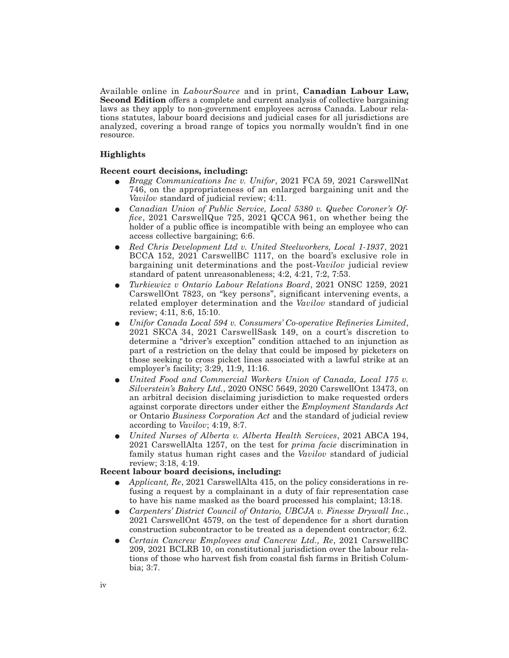Available online in *LabourSource* and in print, **Canadian Labour Law, Second Edition** offers a complete and current analysis of collective bargaining laws as they apply to non-government employees across Canada. Labour relations statutes, labour board decisions and judicial cases for all jurisdictions are analyzed, covering a broad range of topics you normally wouldn't find in one resource.

#### **Highlights**

#### **Recent court decisions, including:**

- E *Bragg Communications Inc v. Unifor*, 2021 FCA 59, 2021 CarswellNat 746, on the appropriateness of an enlarged bargaining unit and the *Vavilov* standard of judicial review; 4:11.
- Canadian Union of Public Service, Local 5380 v. Quebec Coroner's Of*fice*, 2021 CarswellQue 725, 2021 QCCA 961, on whether being the holder of a public office is incompatible with being an employee who can access collective bargaining; 6:6.
- E *Red Chris Development Ltd v. United Steelworkers, Local 1-1937*, 2021 BCCA 152, 2021 CarswellBC 1117, on the board's exclusive role in bargaining unit determinations and the post-*Vavilov* judicial review standard of patent unreasonableness; 4:2, 4:21, 7:2, 7:53.
- E *Turkiewicz v Ontario Labour Relations Board*, 2021 ONSC 1259, 2021 CarswellOnt 7823, on "key persons", significant intervening events, a related employer determination and the *Vavilov* standard of judicial review; 4:11, 8:6, 15:10.
- E *Unifor Canada Local 594 v. Consumers' Co-operative Refineries Limited*, 2021 SKCA 34, 2021 CarswellSask 149, on a court's discretion to determine a "driver's exception" condition attached to an injunction as part of a restriction on the delay that could be imposed by picketers on those seeking to cross picket lines associated with a lawful strike at an employer's facility; 3:29, 11:9, 11:16.
- E *United Food and Commercial Workers Union of Canada, Local 175 v. Silverstein's Bakery Ltd.*, 2020 ONSC 5649, 2020 CarswellOnt 13473, on an arbitral decision disclaiming jurisdiction to make requested orders against corporate directors under either the *Employment Standards Act* or Ontario *Business Corporation Act* and the standard of judicial review according to *Vavilov*; 4:19, 8:7.
- E *United Nurses of Alberta v. Alberta Health Services*, 2021 ABCA 194, 2021 CarswellAlta 1257, on the test for *prima facie* discrimination in family status human right cases and the *Vavilov* standard of judicial review; 3:18, 4:19.

#### **Recent labour board decisions, including:**

- E *Applicant, Re*, 2021 CarswellAlta 415, on the policy considerations in refusing a request by a complainant in a duty of fair representation case to have his name masked as the board processed his complaint; 13:18.
- E *Carpenters' District Council of Ontario, UBCJA v. Finesse Drywall Inc.*, 2021 CarswellOnt 4579, on the test of dependence for a short duration construction subcontractor to be treated as a dependent contractor; 6:2.
- E *Certain Cancrew Employees and Cancrew Ltd., Re*, 2021 CarswellBC 209, 2021 BCLRB 10, on constitutional jurisdiction over the labour relations of those who harvest fish from coastal fish farms in British Columbia; 3:7.